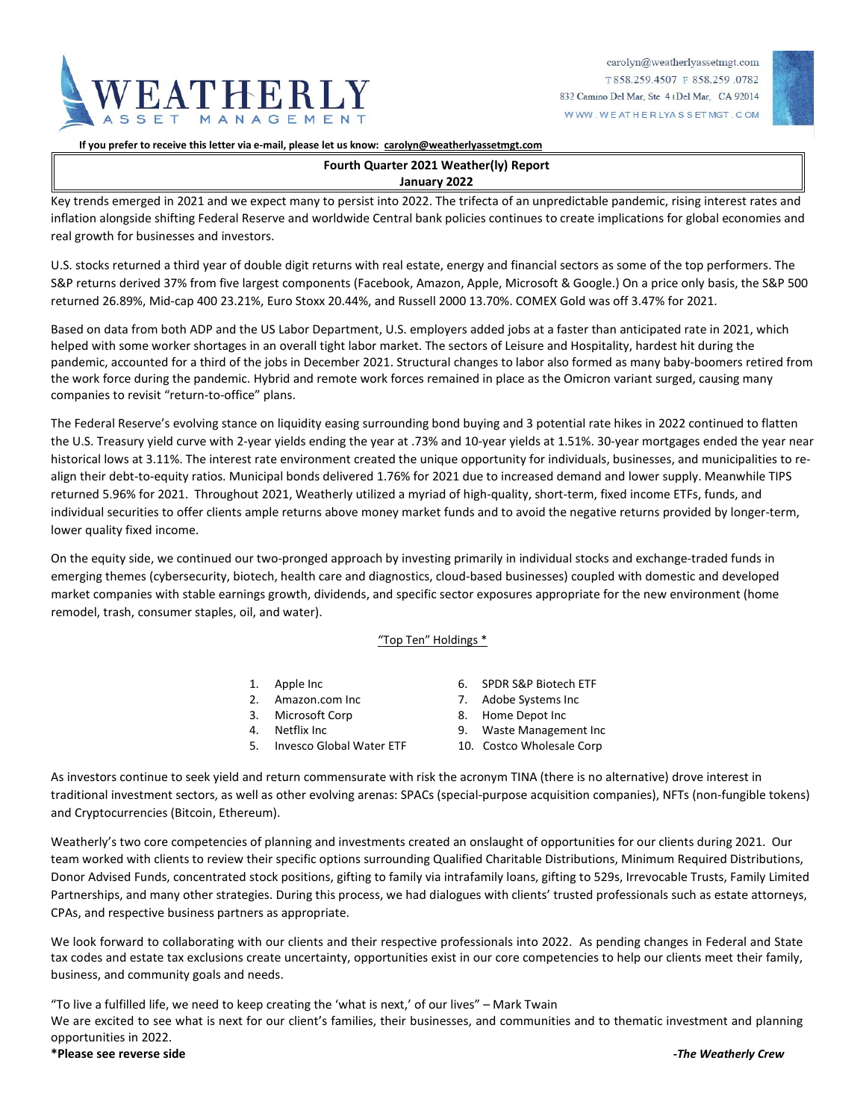



**If you prefer to receive this letter via e-mail, please let us know: [carolyn@weatherlyassetmgt.com](mailto:carolyn@weatherlyassetmgt.com)**

# **Fourth Quarter 2021 Weather(ly) Report**

### **January 2022**

Key trends emerged in 2021 and we expect many to persist into 2022. The trifecta of an unpredictable pandemic, rising interest rates and inflation alongside shifting Federal Reserve and worldwide Central bank policies continues to create implications for global economies and real growth for businesses and investors.

U.S. stocks returned a third year of double digit returns with real estate, energy and financial sectors as some of the top performers. The S&P returns derived 37% from five largest components (Facebook, Amazon, Apple, Microsoft & Google.) On a price only basis, the S&P 500 returned 26.89%, Mid-cap 400 23.21%, Euro Stoxx 20.44%, and Russell 2000 13.70%. COMEX Gold was off 3.47% for 2021.

Based on data from both ADP and the US Labor Department, U.S. employers added jobs at a faster than anticipated rate in 2021, which helped with some worker shortages in an overall tight labor market. The sectors of Leisure and Hospitality, hardest hit during the pandemic, accounted for a third of the jobs in December 2021. Structural changes to labor also formed as many baby-boomers retired from the work force during the pandemic. Hybrid and remote work forces remained in place as the Omicron variant surged, causing many companies to revisit "return-to-office" plans.

The Federal Reserve's evolving stance on liquidity easing surrounding bond buying and 3 potential rate hikes in 2022 continued to flatten the U.S. Treasury yield curve with 2-year yields ending the year at .73% and 10-year yields at 1.51%. 30-year mortgages ended the year near historical lows at 3.11%. The interest rate environment created the unique opportunity for individuals, businesses, and municipalities to realign their debt-to-equity ratios. Municipal bonds delivered 1.76% for 2021 due to increased demand and lower supply. Meanwhile TIPS returned 5.96% for 2021. Throughout 2021, Weatherly utilized a myriad of high-quality, short-term, fixed income ETFs, funds, and individual securities to offer clients ample returns above money market funds and to avoid the negative returns provided by longer-term, lower quality fixed income.

On the equity side, we continued our two-pronged approach by investing primarily in individual stocks and exchange-traded funds in emerging themes (cybersecurity, biotech, health care and diagnostics, cloud-based businesses) coupled with domestic and developed market companies with stable earnings growth, dividends, and specific sector exposures appropriate for the new environment (home remodel, trash, consumer staples, oil, and water).

### "Top Ten" Holdings \*

- 
- 2. Amazon.com Inc 7. Adobe Systems Inc
- 3. Microsoft Corp 8. Home Depot Inc
- 
- 5. Invesco Global Water ETF 10. Costco Wholesale Corp
- 1. Apple Inc 6. SPDR S&P Biotech ETF
	-
	-
	- 9. Waste Management Inc
	-

As investors continue to seek yield and return commensurate with risk the acronym TINA (there is no alternative) drove interest in traditional investment sectors, as well as other evolving arenas: SPACs (special-purpose acquisition companies), NFTs (non-fungible tokens) and Cryptocurrencies (Bitcoin, Ethereum).

Weatherly's two core competencies of planning and investments created an onslaught of opportunities for our clients during 2021. Our team worked with clients to review their specific options surrounding Qualified Charitable Distributions, Minimum Required Distributions, Donor Advised Funds, concentrated stock positions, gifting to family via intrafamily loans, gifting to 529s, Irrevocable Trusts, Family Limited Partnerships, and many other strategies. During this process, we had dialogues with clients' trusted professionals such as estate attorneys, CPAs, and respective business partners as appropriate.

We look forward to collaborating with our clients and their respective professionals into 2022. As pending changes in Federal and State tax codes and estate tax exclusions create uncertainty, opportunities exist in our core competencies to help our clients meet their family, business, and community goals and needs.

"To live a fulfilled life, we need to keep creating the 'what is next,' of our lives" – Mark Twain We are excited to see what is next for our client's families, their businesses, and communities and to thematic investment and planning opportunities in 2022.

### **\*Please see reverse side** *-The Weatherly Crew*